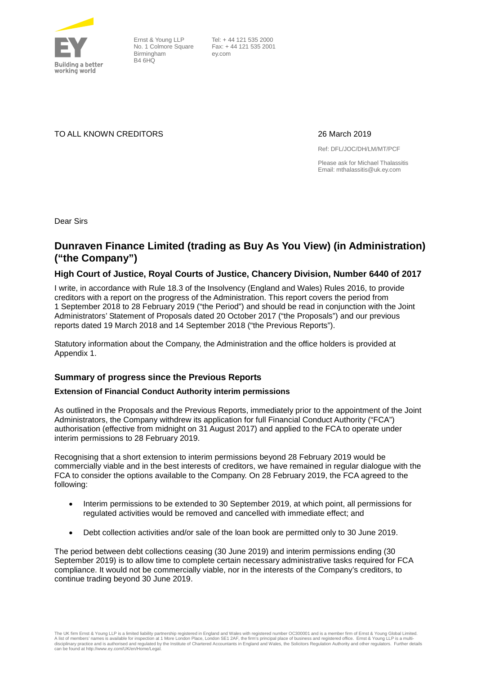

Ernst & Young LLP No. 1 Colmore Square Birmingham B4 6HQ

 Tel: + 44 121 535 2000 Fax: + 44 121 535 2001 ey.com

TO ALL KNOWN CREDITORS 26 March 2019

Ref: DFL/JOC/DH/LM/MT/PCF

Please ask for Michael Thalassitis Email: mthalassitis@uk.ey.com

Dear Sirs

# **Dunraven Finance Limited (trading as Buy As You View) (in Administration) ("the Company")**

## **High Court of Justice, Royal Courts of Justice, Chancery Division, Number 6440 of 2017**

I write, in accordance with Rule 18.3 of the Insolvency (England and Wales) Rules 2016, to provide creditors with a report on the progress of the Administration. This report covers the period from 1 September 2018 to 28 February 2019 ("the Period") and should be read in conjunction with the Joint Administrators' Statement of Proposals dated 20 October 2017 ("the Proposals") and our previous reports dated 19 March 2018 and 14 September 2018 ("the Previous Reports").

Statutory information about the Company, the Administration and the office holders is provided at Appendix 1.

# **Summary of progress since the Previous Reports**

#### **Extension of Financial Conduct Authority interim permissions**

As outlined in the Proposals and the Previous Reports, immediately prior to the appointment of the Joint Administrators, the Company withdrew its application for full Financial Conduct Authority ("FCA") authorisation (effective from midnight on 31 August 2017) and applied to the FCA to operate under interim permissions to 28 February 2019.

Recognising that a short extension to interim permissions beyond 28 February 2019 would be commercially viable and in the best interests of creditors, we have remained in regular dialogue with the FCA to consider the options available to the Company. On 28 February 2019, the FCA agreed to the following:

- Interim permissions to be extended to 30 September 2019, at which point, all permissions for regulated activities would be removed and cancelled with immediate effect; and
- Debt collection activities and/or sale of the loan book are permitted only to 30 June 2019.

The period between debt collections ceasing (30 June 2019) and interim permissions ending (30 September 2019) is to allow time to complete certain necessary administrative tasks required for FCA compliance. It would not be commercially viable, nor in the interests of the Company's creditors, to continue trading beyond 30 June 2019.

The UK firm Ernst & Young LLP is a limited liability partnership registered in England and Wales with registered number OC300001 and is a member firm of Ernst & Young Global Limited. A list of members' names is available for inspection at 1 More London Place, London SE1 2AF, the firm's principal place of business and registered office. Ernst & Young LLP is a multi-<br>disciplinary practice and is authori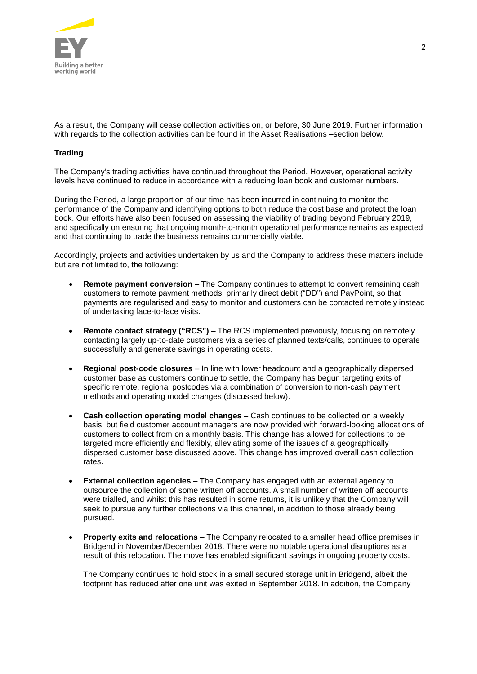

As a result, the Company will cease collection activities on, or before, 30 June 2019. Further information with regards to the collection activities can be found in the Asset Realisations –section below.

#### **Trading**

The Company's trading activities have continued throughout the Period. However, operational activity levels have continued to reduce in accordance with a reducing loan book and customer numbers.

During the Period, a large proportion of our time has been incurred in continuing to monitor the performance of the Company and identifying options to both reduce the cost base and protect the loan book. Our efforts have also been focused on assessing the viability of trading beyond February 2019, and specifically on ensuring that ongoing month-to-month operational performance remains as expected and that continuing to trade the business remains commercially viable.

Accordingly, projects and activities undertaken by us and the Company to address these matters include, but are not limited to, the following:

- **Remote payment conversion** The Company continues to attempt to convert remaining cash customers to remote payment methods, primarily direct debit ("DD") and PayPoint, so that payments are regularised and easy to monitor and customers can be contacted remotely instead of undertaking face-to-face visits.
- **Remote contact strategy ("RCS")** The RCS implemented previously, focusing on remotely contacting largely up-to-date customers via a series of planned texts/calls, continues to operate successfully and generate savings in operating costs.
- **Regional post-code closures** In line with lower headcount and a geographically dispersed customer base as customers continue to settle, the Company has begun targeting exits of specific remote, regional postcodes via a combination of conversion to non-cash payment methods and operating model changes (discussed below).
- **Cash collection operating model changes** Cash continues to be collected on a weekly basis, but field customer account managers are now provided with forward-looking allocations of customers to collect from on a monthly basis. This change has allowed for collections to be targeted more efficiently and flexibly, alleviating some of the issues of a geographically dispersed customer base discussed above. This change has improved overall cash collection rates.
- **External collection agencies** The Company has engaged with an external agency to outsource the collection of some written off accounts. A small number of written off accounts were trialled, and whilst this has resulted in some returns, it is unlikely that the Company will seek to pursue any further collections via this channel, in addition to those already being pursued.
- **Property exits and relocations** The Company relocated to a smaller head office premises in Bridgend in November/December 2018. There were no notable operational disruptions as a result of this relocation. The move has enabled significant savings in ongoing property costs.

The Company continues to hold stock in a small secured storage unit in Bridgend, albeit the footprint has reduced after one unit was exited in September 2018. In addition, the Company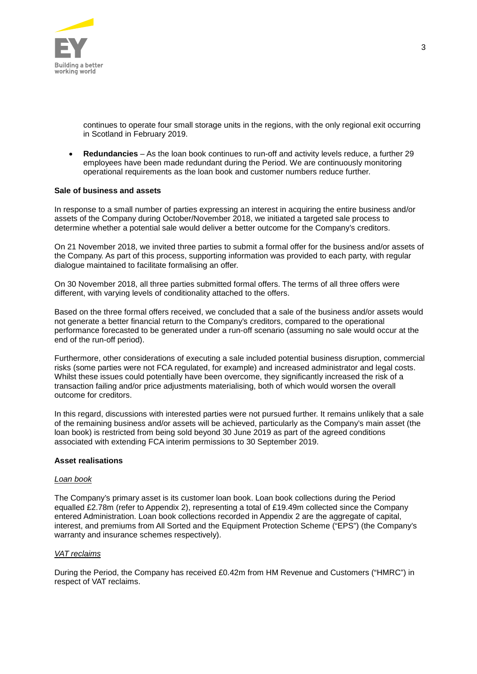

continues to operate four small storage units in the regions, with the only regional exit occurring in Scotland in February 2019.

• **Redundancies** – As the loan book continues to run-off and activity levels reduce, a further 29 employees have been made redundant during the Period. We are continuously monitoring operational requirements as the loan book and customer numbers reduce further.

#### **Sale of business and assets**

In response to a small number of parties expressing an interest in acquiring the entire business and/or assets of the Company during October/November 2018, we initiated a targeted sale process to determine whether a potential sale would deliver a better outcome for the Company's creditors.

On 21 November 2018, we invited three parties to submit a formal offer for the business and/or assets of the Company. As part of this process, supporting information was provided to each party, with regular dialogue maintained to facilitate formalising an offer.

On 30 November 2018, all three parties submitted formal offers. The terms of all three offers were different, with varying levels of conditionality attached to the offers.

Based on the three formal offers received, we concluded that a sale of the business and/or assets would not generate a better financial return to the Company's creditors, compared to the operational performance forecasted to be generated under a run-off scenario (assuming no sale would occur at the end of the run-off period).

Furthermore, other considerations of executing a sale included potential business disruption, commercial risks (some parties were not FCA regulated, for example) and increased administrator and legal costs. Whilst these issues could potentially have been overcome, they significantly increased the risk of a transaction failing and/or price adjustments materialising, both of which would worsen the overall outcome for creditors.

In this regard, discussions with interested parties were not pursued further. It remains unlikely that a sale of the remaining business and/or assets will be achieved, particularly as the Company's main asset (the loan book) is restricted from being sold beyond 30 June 2019 as part of the agreed conditions associated with extending FCA interim permissions to 30 September 2019.

#### **Asset realisations**

#### *Loan book*

The Company's primary asset is its customer loan book. Loan book collections during the Period equalled £2.78m (refer to Appendix 2), representing a total of £19.49m collected since the Company entered Administration. Loan book collections recorded in Appendix 2 are the aggregate of capital, interest, and premiums from All Sorted and the Equipment Protection Scheme ("EPS") (the Company's warranty and insurance schemes respectively).

#### *VAT reclaims*

During the Period, the Company has received £0.42m from HM Revenue and Customers ("HMRC") in respect of VAT reclaims.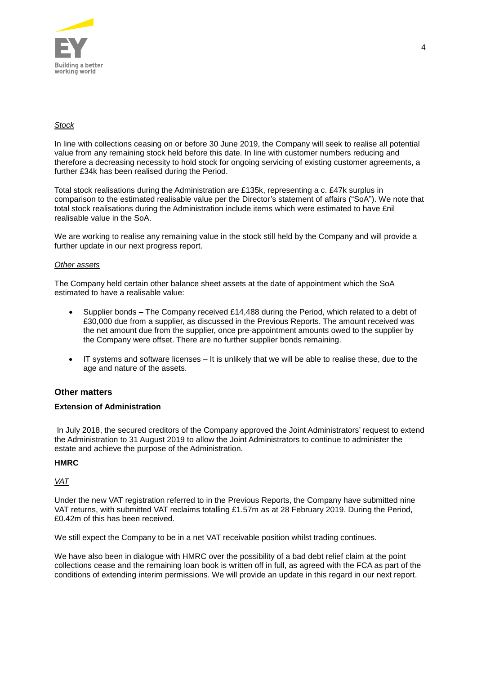

## *Stock*

In line with collections ceasing on or before 30 June 2019, the Company will seek to realise all potential value from any remaining stock held before this date. In line with customer numbers reducing and therefore a decreasing necessity to hold stock for ongoing servicing of existing customer agreements, a further £34k has been realised during the Period.

Total stock realisations during the Administration are £135k, representing a c. £47k surplus in comparison to the estimated realisable value per the Director's statement of affairs ("SoA"). We note that total stock realisations during the Administration include items which were estimated to have £nil realisable value in the SoA.

We are working to realise any remaining value in the stock still held by the Company and will provide a further update in our next progress report.

#### *Other assets*

The Company held certain other balance sheet assets at the date of appointment which the SoA estimated to have a realisable value:

- Supplier bonds The Company received £14,488 during the Period, which related to a debt of £30,000 due from a supplier, as discussed in the Previous Reports. The amount received was the net amount due from the supplier, once pre-appointment amounts owed to the supplier by the Company were offset. There are no further supplier bonds remaining.
- IT systems and software licenses It is unlikely that we will be able to realise these, due to the age and nature of the assets.

## **Other matters**

#### **Extension of Administration**

In July 2018, the secured creditors of the Company approved the Joint Administrators' request to extend the Administration to 31 August 2019 to allow the Joint Administrators to continue to administer the estate and achieve the purpose of the Administration.

## **HMRC**

*VAT*

Under the new VAT registration referred to in the Previous Reports, the Company have submitted nine VAT returns, with submitted VAT reclaims totalling £1.57m as at 28 February 2019. During the Period, £0.42m of this has been received.

We still expect the Company to be in a net VAT receivable position whilst trading continues.

We have also been in dialogue with HMRC over the possibility of a bad debt relief claim at the point collections cease and the remaining loan book is written off in full, as agreed with the FCA as part of the conditions of extending interim permissions. We will provide an update in this regard in our next report.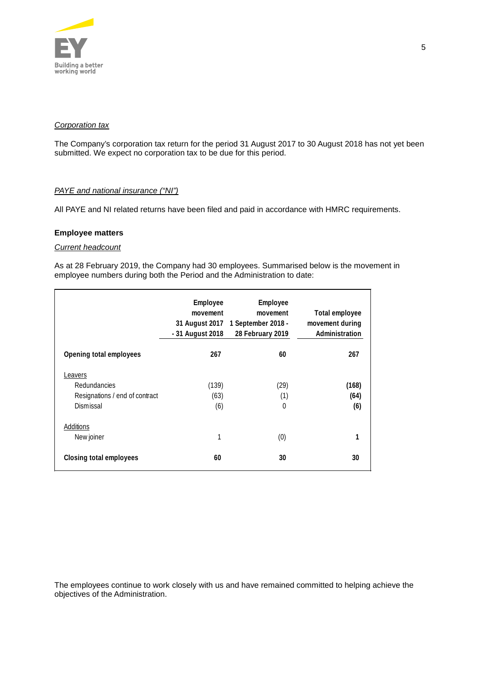

#### *Corporation tax*

The Company's corporation tax return for the period 31 August 2017 to 30 August 2018 has not yet been submitted. We expect no corporation tax to be due for this period.

## *PAYE and national insurance ("NI")*

All PAYE and NI related returns have been filed and paid in accordance with HMRC requirements.

#### **Employee matters**

#### *Current headcount*

As at 28 February 2019, the Company had 30 employees. Summarised below is the movement in employee numbers during both the Period and the Administration to date:

|                                                                        | Employee<br>movement<br>- 31 August 2018 | Employee<br>movement<br>31 August 2017 1 September 2018 -<br>28 February 2019 | Total employee<br>movement during<br>Administration |
|------------------------------------------------------------------------|------------------------------------------|-------------------------------------------------------------------------------|-----------------------------------------------------|
| Opening total employees                                                | 267                                      | 60                                                                            | 267                                                 |
| Leavers<br>Redundancies<br>Resignations / end of contract<br>Dismissal | (139)<br>(63)<br>(6)                     | (29)<br>(1)<br>$\theta$                                                       | (168)<br>(64)<br>(6)                                |
| Additions<br>New joiner                                                | 1                                        | (0)                                                                           | 1                                                   |
| Closing total employees                                                | 60                                       | 30                                                                            | 30                                                  |

The employees continue to work closely with us and have remained committed to helping achieve the objectives of the Administration.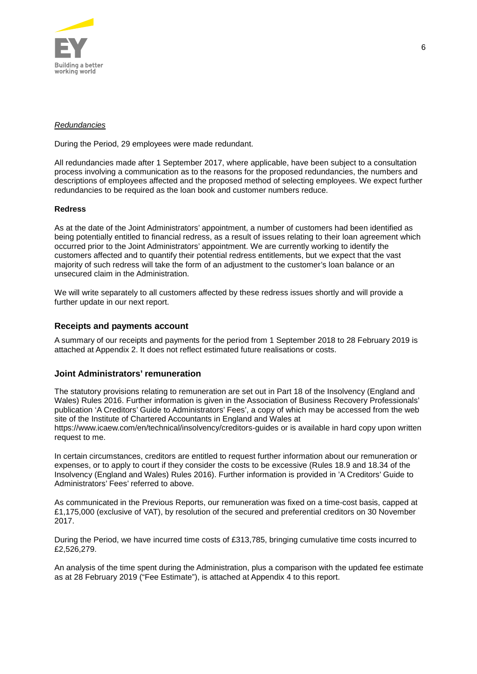

#### *Redundancies*

During the Period, 29 employees were made redundant.

All redundancies made after 1 September 2017, where applicable, have been subject to a consultation process involving a communication as to the reasons for the proposed redundancies, the numbers and descriptions of employees affected and the proposed method of selecting employees. We expect further redundancies to be required as the loan book and customer numbers reduce.

## **Redress**

As at the date of the Joint Administrators' appointment, a number of customers had been identified as being potentially entitled to financial redress, as a result of issues relating to their loan agreement which occurred prior to the Joint Administrators' appointment. We are currently working to identify the customers affected and to quantify their potential redress entitlements, but we expect that the vast majority of such redress will take the form of an adjustment to the customer's loan balance or an unsecured claim in the Administration.

We will write separately to all customers affected by these redress issues shortly and will provide a further update in our next report.

## **Receipts and payments account**

A summary of our receipts and payments for the period from 1 September 2018 to 28 February 2019 is attached at Appendix 2. It does not reflect estimated future realisations or costs.

## **Joint Administrators' remuneration**

The statutory provisions relating to remuneration are set out in Part 18 of the Insolvency (England and Wales) Rules 2016. Further information is given in the Association of Business Recovery Professionals' publication 'A Creditors' Guide to Administrators' Fees', a copy of which may be accessed from the web site of the Institute of Chartered Accountants in England and Wales at https://www.icaew.com/en/technical/insolvency/creditors-guides or is available in hard copy upon written request to me.

In certain circumstances, creditors are entitled to request further information about our remuneration or expenses, or to apply to court if they consider the costs to be excessive (Rules 18.9 and 18.34 of the Insolvency (England and Wales) Rules 2016). Further information is provided in 'A Creditors' Guide to Administrators' Fees' referred to above.

As communicated in the Previous Reports, our remuneration was fixed on a time-cost basis, capped at £1,175,000 (exclusive of VAT), by resolution of the secured and preferential creditors on 30 November 2017.

During the Period, we have incurred time costs of £313,785, bringing cumulative time costs incurred to £2,526,279.

An analysis of the time spent during the Administration, plus a comparison with the updated fee estimate as at 28 February 2019 ("Fee Estimate"), is attached at Appendix 4 to this report.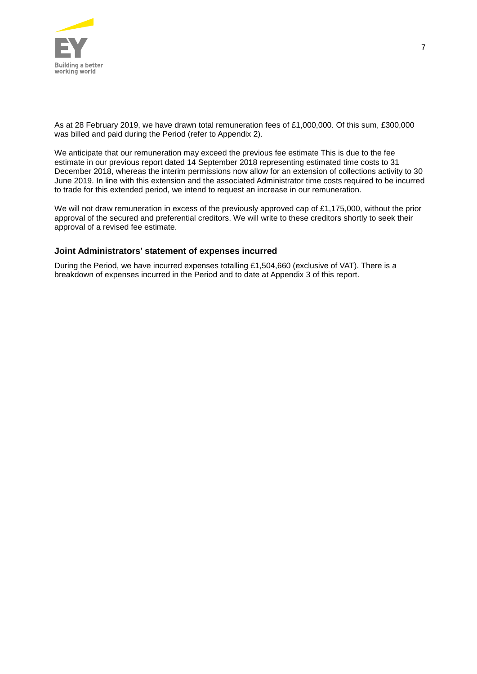

As at 28 February 2019, we have drawn total remuneration fees of £1,000,000. Of this sum, £300,000 was billed and paid during the Period (refer to Appendix 2).

We anticipate that our remuneration may exceed the previous fee estimate This is due to the fee estimate in our previous report dated 14 September 2018 representing estimated time costs to 31 December 2018, whereas the interim permissions now allow for an extension of collections activity to 30 June 2019. In line with this extension and the associated Administrator time costs required to be incurred to trade for this extended period, we intend to request an increase in our remuneration.

We will not draw remuneration in excess of the previously approved cap of £1,175,000, without the prior approval of the secured and preferential creditors. We will write to these creditors shortly to seek their approval of a revised fee estimate.

## **Joint Administrators' statement of expenses incurred**

During the Period, we have incurred expenses totalling £1,504,660 (exclusive of VAT). There is a breakdown of expenses incurred in the Period and to date at Appendix 3 of this report.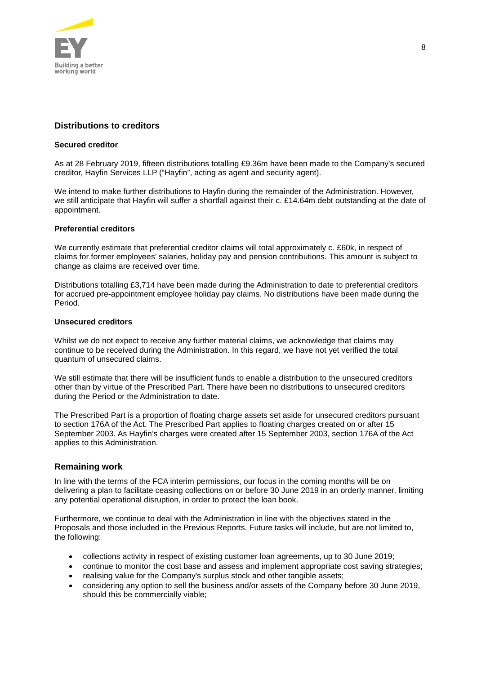

## **Distributions to creditors**

#### **Secured creditor**

As at 28 February 2019, fifteen distributions totalling £9.36m have been made to the Company's secured creditor, Hayfin Services LLP ("Hayfin", acting as agent and security agent).

We intend to make further distributions to Hayfin during the remainder of the Administration. However, we still anticipate that Hayfin will suffer a shortfall against their c. £14.64m debt outstanding at the date of appointment.

#### **Preferential creditors**

We currently estimate that preferential creditor claims will total approximately c. £60k, in respect of claims for former employees' salaries, holiday pay and pension contributions. This amount is subject to change as claims are received over time.

Distributions totalling £3,714 have been made during the Administration to date to preferential creditors for accrued pre-appointment employee holiday pay claims. No distributions have been made during the Period.

#### **Unsecured creditors**

Whilst we do not expect to receive any further material claims, we acknowledge that claims may continue to be received during the Administration. In this regard, we have not yet verified the total quantum of unsecured claims.

We still estimate that there will be insufficient funds to enable a distribution to the unsecured creditors other than by virtue of the Prescribed Part. There have been no distributions to unsecured creditors during the Period or the Administration to date.

The Prescribed Part is a proportion of floating charge assets set aside for unsecured creditors pursuant to section 176A of the Act. The Prescribed Part applies to floating charges created on or after 15 September 2003. As Hayfin's charges were created after 15 September 2003, section 176A of the Act applies to this Administration.

## **Remaining work**

In line with the terms of the FCA interim permissions, our focus in the coming months will be on delivering a plan to facilitate ceasing collections on or before 30 June 2019 in an orderly manner, limiting any potential operational disruption, in order to protect the loan book.

Furthermore, we continue to deal with the Administration in line with the objectives stated in the Proposals and those included in the Previous Reports. Future tasks will include, but are not limited to, the following:

- collections activity in respect of existing customer loan agreements, up to 30 June 2019;
- continue to monitor the cost base and assess and implement appropriate cost saving strategies;
- realising value for the Company's surplus stock and other tangible assets;
- considering any option to sell the business and/or assets of the Company before 30 June 2019, should this be commercially viable;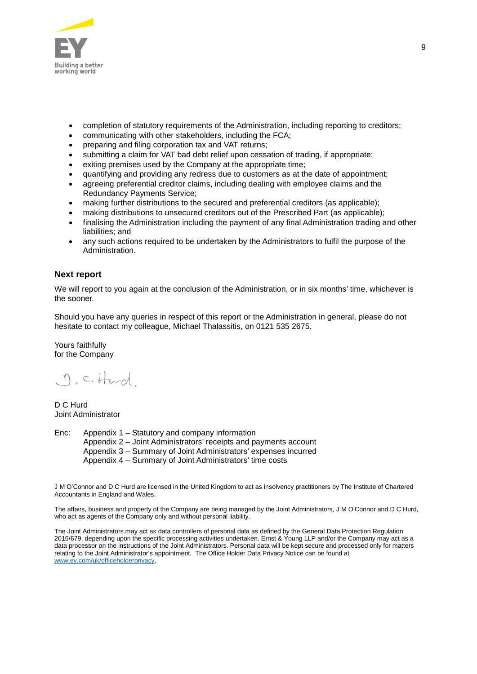

- completion of statutory requirements of the Administration, including reporting to creditors;
- communicating with other stakeholders, including the FCA;
- preparing and filing corporation tax and VAT returns;
- submitting a claim for VAT bad debt relief upon cessation of trading, if appropriate;
- exiting premises used by the Company at the appropriate time;
- quantifying and providing any redress due to customers as at the date of appointment;
- agreeing preferential creditor claims, including dealing with employee claims and the Redundancy Payments Service;
- making further distributions to the secured and preferential creditors (as applicable);
- making distributions to unsecured creditors out of the Prescribed Part (as applicable);
- finalising the Administration including the payment of any final Administration trading and other liabilities; and
- any such actions required to be undertaken by the Administrators to fulfil the purpose of the Administration.

## **Next report**

We will report to you again at the conclusion of the Administration, or in six months' time, whichever is the sooner.

Should you have any queries in respect of this report or the Administration in general, please do not hesitate to contact my colleague, Michael Thalassitis, on 0121 535 2675.

Yours faithfully for the Company

 $\eta$ , c. Hurd

D C Hurd Joint Administrator

Enc: Appendix 1 – Statutory and company information Appendix 2 – Joint Administrators' receipts and payments account Appendix 3 – Summary of Joint Administrators' expenses incurred Appendix 4 – Summary of Joint Administrators' time costs

J M O'Connor and D C Hurd are licensed in the United Kingdom to act as insolvency practitioners by The Institute of Chartered Accountants in England and Wales.

The affairs, business and property of the Company are being managed by the Joint Administrators, J M O'Connor and D C Hurd, who act as agents of the Company only and without personal liability.

The Joint Administrators may act as data controllers of personal data as defined by the General Data Protection Regulation 2016/679, depending upon the specific processing activities undertaken. Ernst & Young LLP and/or the Company may act as a data processor on the instructions of the Joint Administrators. Personal data will be kept secure and processed only for matters relating to the Joint Administrator's appointment. The Office Holder Data Privacy Notice can be found at [www.ey.com/uk/officeholderprivacy.](https://www.ey.com/uk/officeholderprivacy)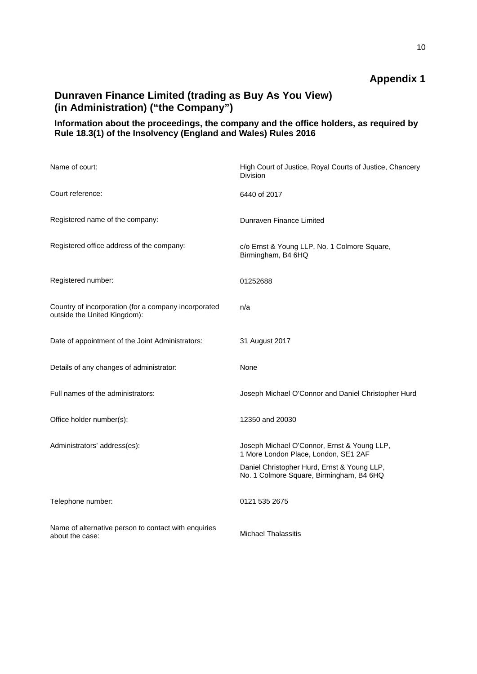# **Dunraven Finance Limited (trading as Buy As You View) (in Administration) ("the Company")**

# **Information about the proceedings, the company and the office holders, as required by Rule 18.3(1) of the Insolvency (England and Wales) Rules 2016**

| Name of court:                                                                       | High Court of Justice, Royal Courts of Justice, Chancery<br><b>Division</b>             |
|--------------------------------------------------------------------------------------|-----------------------------------------------------------------------------------------|
| Court reference:                                                                     | 6440 of 2017                                                                            |
| Registered name of the company:                                                      | Dunraven Finance Limited                                                                |
| Registered office address of the company:                                            | c/o Ernst & Young LLP, No. 1 Colmore Square,<br>Birmingham, B4 6HQ                      |
| Registered number:                                                                   | 01252688                                                                                |
| Country of incorporation (for a company incorporated<br>outside the United Kingdom): | n/a                                                                                     |
| Date of appointment of the Joint Administrators:                                     | 31 August 2017                                                                          |
| Details of any changes of administrator:                                             | None                                                                                    |
| Full names of the administrators:                                                    | Joseph Michael O'Connor and Daniel Christopher Hurd                                     |
| Office holder number(s):                                                             | 12350 and 20030                                                                         |
| Administrators' address(es):                                                         | Joseph Michael O'Connor, Ernst & Young LLP,<br>1 More London Place, London, SE1 2AF     |
|                                                                                      | Daniel Christopher Hurd, Ernst & Young LLP,<br>No. 1 Colmore Square, Birmingham, B4 6HQ |
| Telephone number:                                                                    | 0121 535 2675                                                                           |
| Name of alternative person to contact with enquiries<br>about the case:              | <b>Michael Thalassitis</b>                                                              |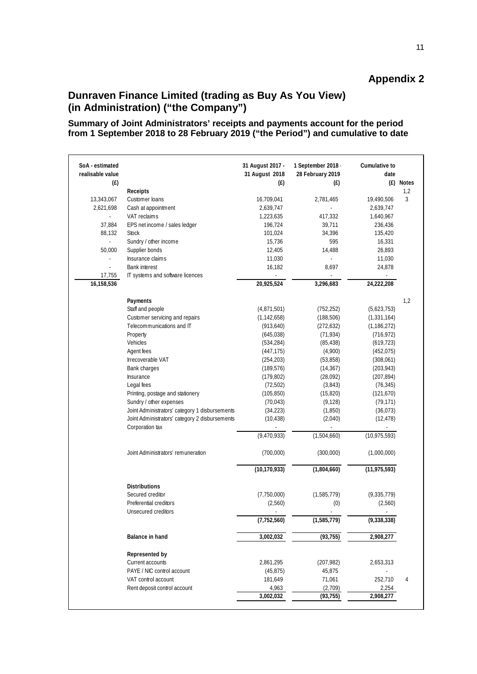# **Dunraven Finance Limited (trading as Buy As You View) (in Administration) ("the Company")**

**Summary of Joint Administrators' receipts and payments account for the period from 1 September 2018 to 28 February 2019 ("the Period") and cumulative to date**

| SoA - estimated<br>realisable value |                                                                   | 31 August 2017 -<br>31 August 2018 | 1 September 2018 -<br>28 February 2019 | Cumulative to<br>date       |                  |
|-------------------------------------|-------------------------------------------------------------------|------------------------------------|----------------------------------------|-----------------------------|------------------|
| (f)                                 |                                                                   | (f)                                | (E)                                    |                             | (£) Notes<br>1,2 |
| 13,343,067                          | Receipts<br>Customer loans                                        | 16,709,041                         | 2,781,465                              | 19,490,506                  | 3                |
| 2,621,698                           | Cash at appointment                                               | 2,639,747                          |                                        | 2,639,747                   |                  |
| $\sim$                              | VAT reclaims                                                      | 1,223,635                          | 417,332                                | 1,640,967                   |                  |
| 37,884                              | EPS net income / sales ledger                                     | 196,724                            | 39,711                                 | 236,436                     |                  |
| 88,132                              | <b>Stock</b>                                                      | 101,024                            | 34,396                                 | 135,420                     |                  |
|                                     | Sundry / other income                                             | 15,736                             | 595                                    | 16,331                      |                  |
| 50,000                              | Supplier bonds                                                    | 12,405                             | 14,488                                 | 26,893                      |                  |
|                                     | Insurance claims                                                  | 11,030                             |                                        | 11,030                      |                  |
|                                     | <b>Bank interest</b>                                              | 16,182                             | 8,697                                  | 24,878                      |                  |
| 17,755                              | IT systems and software licences                                  |                                    | ÷.                                     | $\mathcal{L}_{\mathcal{A}}$ |                  |
| 16,158,536                          |                                                                   | 20,925,524                         | 3,296,683                              | 24,222,208                  |                  |
|                                     | Payments                                                          |                                    |                                        |                             | 1,2              |
|                                     | Staff and people                                                  | (4,871,501)                        | (752, 252)                             | (5,623,753)                 |                  |
|                                     | Customer servicing and repairs                                    | (1, 142, 658)                      | (188, 506)                             | (1, 331, 164)               |                  |
|                                     | Telecommunications and IT                                         | (913, 640)                         | (272, 632)                             | (1, 186, 272)               |                  |
|                                     | Property                                                          | (645, 038)                         | (71, 934)                              | (716, 972)                  |                  |
|                                     | Vehicles                                                          | (534, 284)                         | (85, 438)                              | (619, 723)                  |                  |
|                                     | Agent fees                                                        | (447, 175)                         | (4,900)                                | (452, 075)                  |                  |
|                                     | Irrecoverable VAT                                                 | (254, 203)                         | (53,858)                               | (308,061)                   |                  |
|                                     | Bank charges                                                      | (189, 576)                         | (14, 367)                              | (203, 943)                  |                  |
|                                     | Insurance                                                         | (179, 802)                         | (28,092)                               | (207, 894)                  |                  |
|                                     | Legal fees                                                        | (72, 502)                          | (3,843)                                | (76, 345)                   |                  |
|                                     | Printing, postage and stationery                                  | (105, 850)                         | (15, 820)                              | (121, 670)                  |                  |
|                                     | Sundry / other expenses                                           | (70, 043)                          | (9, 128)                               | (79, 171)                   |                  |
|                                     | Joint Administrators' category 1 disbursements                    | (34, 223)                          | (1,850)                                | (36, 073)                   |                  |
|                                     | Joint Administrators' category 2 disbursements<br>Corporation tax | (10, 438)                          | (2,040)<br>÷,                          | (12, 478)<br>$\Box$         |                  |
|                                     |                                                                   | (9,470,933)                        | (1,504,660)                            | (10, 975, 593)              |                  |
|                                     | Joint Administrators' remuneration                                | (700,000)                          | (300,000)                              | (1,000,000)                 |                  |
|                                     |                                                                   | (10, 170, 933)                     | (1,804,660)                            | (11, 975, 593)              |                  |
|                                     | <b>Distributions</b>                                              |                                    |                                        |                             |                  |
|                                     | Secured creditor                                                  | (7,750,000)                        | (1,585,779)                            | (9,335,779)                 |                  |
|                                     | Preferential creditors                                            | (2,560)                            | (0)                                    | (2,560)                     |                  |
|                                     | Unsecured creditors                                               |                                    |                                        | ÷,                          |                  |
|                                     |                                                                   | (7, 752, 560)                      | (1,585,779)                            | (9,338,338)                 |                  |
|                                     | <b>Balance in hand</b>                                            | 3,002,032                          | (93, 755)                              | 2,908,277                   |                  |
|                                     | Represented by                                                    |                                    |                                        |                             |                  |
|                                     | Current accounts                                                  | 2,861,295                          | (207, 982)                             | 2,653,313                   |                  |
|                                     | PAYE / NIC control account                                        | (45, 875)                          | 45,875                                 |                             |                  |
|                                     | VAT control account                                               | 181,649                            | 71,061                                 | 252,710                     | 4                |
|                                     | Rent deposit control account                                      | 4,963                              | (2,709)                                | 2,254                       |                  |
|                                     |                                                                   | 3,002,032                          | (93, 755)                              | 2,908,277                   |                  |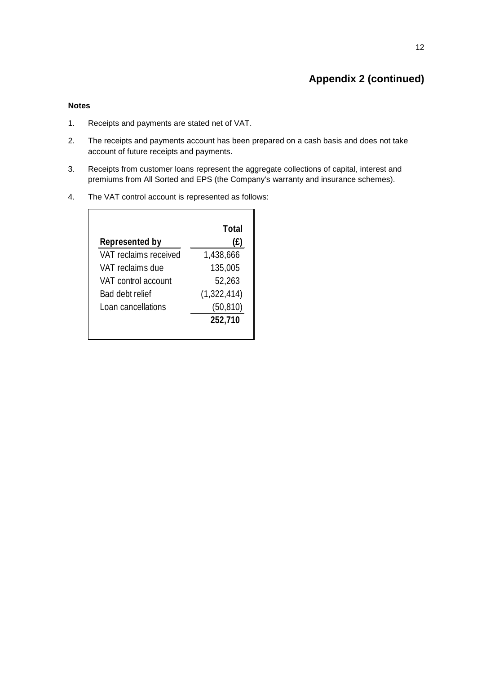# **Appendix 2 (continued)**

#### **Notes**

- 1. Receipts and payments are stated net of VAT.
- 2. The receipts and payments account has been prepared on a cash basis and does not take account of future receipts and payments.
- 3. Receipts from customer loans represent the aggregate collections of capital, interest and premiums from All Sorted and EPS (the Company's warranty and insurance schemes).
- 4. The VAT control account is represented as follows:

|                       | Total       |
|-----------------------|-------------|
| Represented by        | (£)         |
| VAT reclaims received | 1,438,666   |
| VAT reclaims due      | 135,005     |
| VAT control account   | 52,263      |
| Bad debt relief       | (1,322,414) |
| Loan cancellations    | (50, 810)   |
|                       | 252,710     |
|                       |             |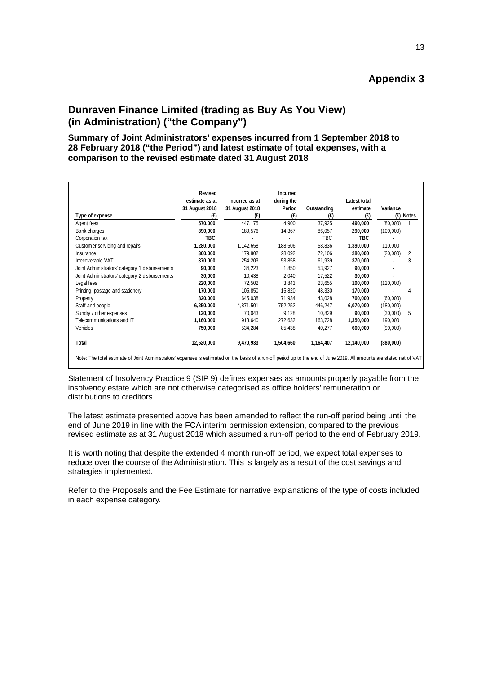# **Dunraven Finance Limited (trading as Buy As You View) (in Administration) ("the Company")**

## **Summary of Joint Administrators' expenses incurred from 1 September 2018 to 28 February 2018 ("the Period") and latest estimate of total expenses, with a comparison to the revised estimate dated 31 August 2018**

|                                                | Revised                          |                                  | <b>Incurred</b>      |             |                          |           |           |
|------------------------------------------------|----------------------------------|----------------------------------|----------------------|-------------|--------------------------|-----------|-----------|
|                                                | estimate as at<br>31 August 2018 | Incurred as at<br>31 August 2018 | during the<br>Period | Outstanding | Latest total<br>estimate | Variance  |           |
| Type of expense                                | (E)                              | (E)                              | (E)                  | (E)         | (E)                      |           | (E) Notes |
| Agent fees                                     | 570,000                          | 447.175                          | 4,900                | 37,925      | 490,000                  | (80,000)  |           |
| Bank charges                                   | 390,000                          | 189,576                          | 14,367               | 86,057      | 290,000                  | (100,000) |           |
| Corporation tax                                | <b>TBC</b>                       |                                  |                      | <b>TBC</b>  | <b>TBC</b>               |           |           |
| Customer servicing and repairs                 | 1,280,000                        | 1,142,658                        | 188,506              | 58,836      | 1,390,000                | 110,000   |           |
| Insurance                                      | 300,000                          | 179,802                          | 28,092               | 72,106      | 280,000                  | (20,000)  | 2         |
| Irrecoverable VAT                              | 370,000                          | 254,203                          | 53,858               | 61,939      | 370,000                  |           | 3         |
| Joint Administrators' category 1 disbursements | 90,000                           | 34,223                           | 1,850                | 53,927      | 90,000                   |           |           |
| Joint Administrators' category 2 disbursements | 30,000                           | 10,438                           | 2,040                | 17,522      | 30,000                   |           |           |
| Legal fees                                     | 220,000                          | 72,502                           | 3,843                | 23,655      | 100,000                  | (120,000) |           |
| Printing, postage and stationery               | 170,000                          | 105,850                          | 15,820               | 48,330      | 170,000                  |           | 4         |
| Property                                       | 820,000                          | 645,038                          | 71,934               | 43,028      | 760,000                  | (60,000)  |           |
| Staff and people                               | 6,250,000                        | 4,871,501                        | 752,252              | 446,247     | 6,070,000                | (180,000) |           |
| Sundry / other expenses                        | 120,000                          | 70,043                           | 9,128                | 10,829      | 90,000                   | (30,000)  | 5         |
| Telecommunications and IT                      | 1,160,000                        | 913,640                          | 272,632              | 163,728     | 1,350,000                | 190,000   |           |
| Vehicles                                       | 750,000                          | 534,284                          | 85,438               | 40,277      | 660,000                  | (90,000)  |           |
| Total                                          | 12,520,000                       | 9,470,933                        | 1,504,660            | 1,164,407   | 12,140,000               | (380,000) |           |

Statement of Insolvency Practice 9 (SIP 9) defines expenses as amounts properly payable from the insolvency estate which are not otherwise categorised as office holders' remuneration or distributions to creditors.

The latest estimate presented above has been amended to reflect the run-off period being until the end of June 2019 in line with the FCA interim permission extension, compared to the previous revised estimate as at 31 August 2018 which assumed a run-off period to the end of February 2019.

It is worth noting that despite the extended 4 month run-off period, we expect total expenses to reduce over the course of the Administration. This is largely as a result of the cost savings and strategies implemented.

Refer to the Proposals and the Fee Estimate for narrative explanations of the type of costs included in each expense category.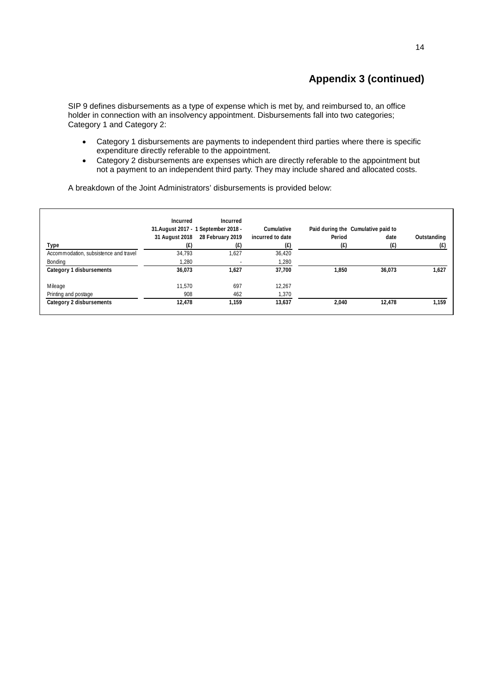# **Appendix 3 (continued)**

SIP 9 defines disbursements as a type of expense which is met by, and reimbursed to, an office holder in connection with an insolvency appointment. Disbursements fall into two categories; Category 1 and Category 2:

- Category 1 disbursements are payments to independent third parties where there is specific expenditure directly referable to the appointment.
- Category 2 disbursements are expenses which are directly referable to the appointment but not a payment to an independent third party. They may include shared and allocated costs.

**Type Incurred 31.August 2017 - 1 September 2018 - 31 August 2018 28 February 2019 (£) Incurred (£) Cumulative incurred to date (£) Paid during the Cumulative paid to Period (£) date (£) Outstanding (£)** Accommodation, subsistence and travel 34,793 1,627 36,420 Bonding 1,280 - 1,280 - 1,280 - 1,280 - 1,280 - 1,280 - 1,280 - 1,280 - 1,280 - 1,280 - 1,280 - 1,280 - 1,280 - 1,280 - 1,280 - 1,280 - 1,280 - 1,280 - 1,280 - 1,280 - 1,280 - 1,280 - 1,280 - 1,280 - 1,280 - 1,280 - 1,280 **Category 1 disbursements 36,073 1,627 37,700 1,850 36,073 1,627** Mileage 12,267 697 11,570 697 697 697 697 12,267 697 697 697 697 698 697 698 697 698 698 698 698 698 698 698 6 Printing and postage 1,370<br>
Category 2 disbursements<br>
21,478 1,159 13,637 **Category 2 disbursements 12,478 1,159 13,637 2,040 12,478 1,159**

A breakdown of the Joint Administrators' disbursements is provided below: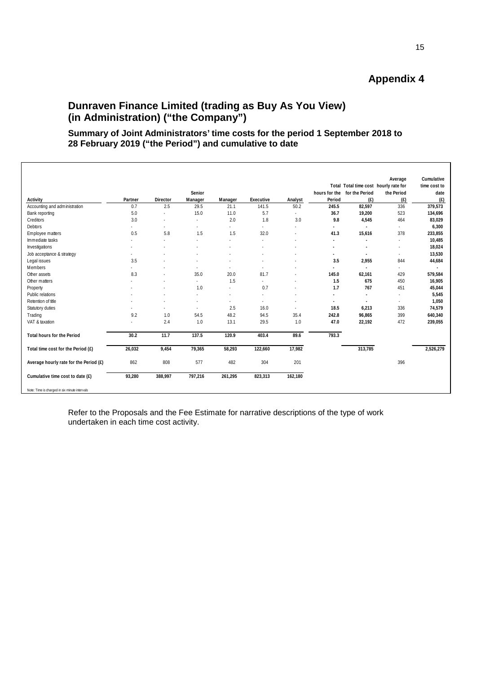# **Dunraven Finance Limited (trading as Buy As You View) (in Administration) ("the Company")**

# **Summary of Joint Administrators' time costs for the period 1 September 2018 to 28 February 2019 ("the Period") and cumulative to date**

|                                        |         |          |         |         |            |         |               | Total Total time cost hourly rate for | Average    | Cumulative<br>time cost to |
|----------------------------------------|---------|----------|---------|---------|------------|---------|---------------|---------------------------------------|------------|----------------------------|
|                                        |         |          | Senior  |         |            |         | hours for the | for the Period                        | the Period | date                       |
| Activity                               | Partner | Director | Manager | Manager | Executive  | Analyst | Period        | (E)                                   | (E)        | (E)                        |
| Accounting and administration          | 0.7     | 2.5      | 29.5    | 21.1    | 141.5      | 50.2    | 245.5         | 82,597                                | 336        | 379,573                    |
| Bank reporting                         | 5.0     |          | 15.0    | 11.0    | 5.7        |         | 36.7          | 19,200                                | 523        | 134,696                    |
| Creditors                              | 3.0     | ÷        | ٠       | 2.0     | 1.8        | 3.0     | 9.8           | 4,545                                 | 464        | 83,029                     |
| Debtors                                | $\sim$  |          | ٠       |         | $\sim$     |         | ÷             |                                       | $\sim$     | 6,300                      |
| Employee matters                       | 0.5     | 5.8      | 1.5     | 1.5     | 32.0       |         | 41.3          | 15,616                                | 378        | 233,855                    |
| Immediate tasks                        |         |          |         |         |            |         | ×             |                                       | $\sim$     | 10,485                     |
| Investigations                         |         |          |         |         |            |         |               | ٠                                     | ٠          | 18,024                     |
| Job acceptance & strategy              |         |          |         |         |            |         | ٠             | ٠                                     | $\epsilon$ | 13,530                     |
| Legal issues                           | 3.5     |          |         |         |            |         | 3.5           | 2,955                                 | 844        | 44,684                     |
| Members                                |         |          | ÷,      | ٠       | $\epsilon$ |         | ٠             |                                       | $\sim$     |                            |
| Other assets                           | 8.3     |          | 35.0    | 20.0    | 81.7       |         | 145.0         | 62,161                                | 429        | 579,584                    |
| Other matters                          |         | ٠        | ٠       | 1.5     | $\sim$     |         | 1.5           | 675                                   | 450        | 16,905                     |
| Property                               |         |          | 1.0     |         | 0.7        |         | 1.7           | 767                                   | 451        | 45,044                     |
| Public relations                       |         |          |         | $\sim$  |            |         | ٠             | $\overline{\phantom{a}}$              | $\sim$     | 5,545                      |
| Retention of title                     |         |          | ٠       | $\sim$  | $\sim$     |         | ٠             | ٠                                     | $\sim$     | 1,050                      |
| Statutory duties                       |         |          |         | 2.5     | 16.0       |         | 18.5          | 6,213                                 | 336        | 74,579                     |
| Trading                                | 9.2     | 1.0      | 54.5    | 48.2    | 94.5       | 35.4    | 242.8         | 96,865                                | 399        | 640,340                    |
| VAT & taxation                         |         | 2.4      | 1.0     | 13.1    | 29.5       | 1.0     | 47.0          | 22,192                                | 472        | 239,055                    |
| <b>Total hours for the Period</b>      | 30.2    | 11.7     | 137.5   | 120.9   | 403.4      | 89.6    | 793.3         |                                       |            |                            |
| Total time cost for the Period (£)     | 26,032  | 9,454    | 79,365  | 58,293  | 122,660    | 17,982  |               | 313,785                               |            | 2,526,279                  |
| Average hourly rate for the Period (£) | 862     | 808      | 577     | 482     | 304        | 201     |               |                                       | 396        |                            |
| Cumulative time cost to date (£)       | 93,280  | 388,997  | 797,216 | 261,295 | 823,313    | 162,180 |               |                                       |            |                            |

Refer to the Proposals and the Fee Estimate for narrative descriptions of the type of work undertaken in each time cost activity.